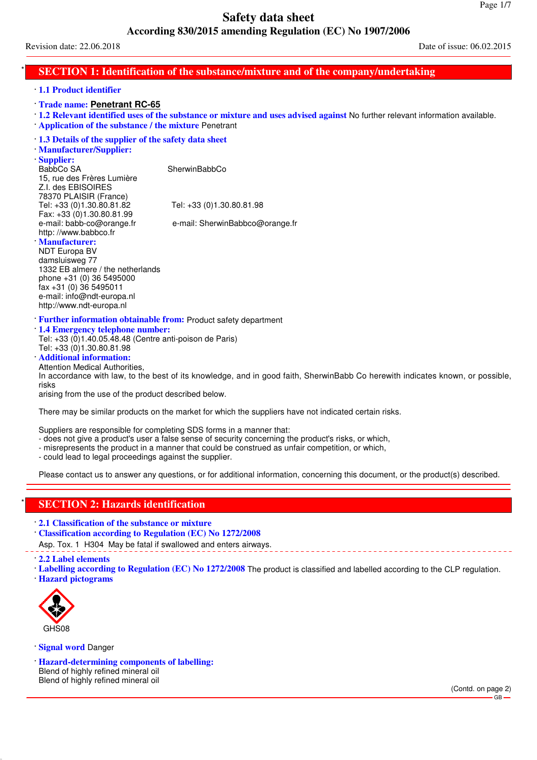Revision date: 22.06.2018 Date of issue: 06.02.2015

# **SECTION 1: Identification of the substance/mixture and of the company/undertaking**

#### · **1.1 Product identifier**

- · **Trade name: Penetrant RC-65**
- · **1.2 Relevant identified uses of the substance or mixture and uses advised against** No further relevant information available.
- · **Application of the substance / the mixture** Penetrant

#### · **1.3 Details of the supplier of the safety data sheet**

- · **Manufacturer/Supplier:**
- · **Supplier:**

BabbCo SA SherwinBabbCo

15, rue des Frères Lumière Z.I. des EBISOIRES 78370 PLAISIR (France)<br>Tel: +33 (0)1.30.80.81.82 Tel: +33 (0)1.30.80.81.82 Tel: +33 (0)1.30.80.81.98 Fax: +33 (0)1.30.80.81.99<br>e-mail: babb-co@orange.fr e-mail: SherwinBabbco@orange.fr http: //www.babbco.fr

#### · **Manufacturer:**

NDT Europa BV damsluisweg 77 1332 EB almere / the netherlands phone +31 (0) 36 5495000 fax +31 (0) 36 5495011 e-mail: info@ndt-europa.nl http://www.ndt-europa.nl

· **Further information obtainable from:** Product safety department

· **1.4 Emergency telephone number:**

Tel: +33 (0)1.40.05.48.48 (Centre anti-poison de Paris)

#### Tel: +33 (0)1.30.80.81.98 · **Additional information:**

### Attention Medical Authorities,

In accordance with law, to the best of its knowledge, and in good faith, SherwinBabb Co herewith indicates known, or possible, risks

arising from the use of the product described below.

There may be similar products on the market for which the suppliers have not indicated certain risks.

Suppliers are responsible for completing SDS forms in a manner that:

- does not give a product's user a false sense of security concerning the product's risks, or which,
- misrepresents the product in a manner that could be construed as unfair competition, or which,
- could lead to legal proceedings against the supplier.

Please contact us to answer any questions, or for additional information, concerning this document, or the product(s) described.

# **SECTION 2: Hazards identification**

- · **2.1 Classification of the substance or mixture**
- · **Classification according to Regulation (EC) No 1272/2008**
- Asp. Tox. 1 H304 May be fatal if swallowed and enters airways.
- · **2.2 Label elements**
- · **Labelling according to Regulation (EC) No 1272/2008** The product is classified and labelled according to the CLP regulation.
- · **Hazard pictograms**



· **Signal word** Danger

· **Hazard-determining components of labelling:** Blend of highly refined mineral oil Blend of highly refined mineral oil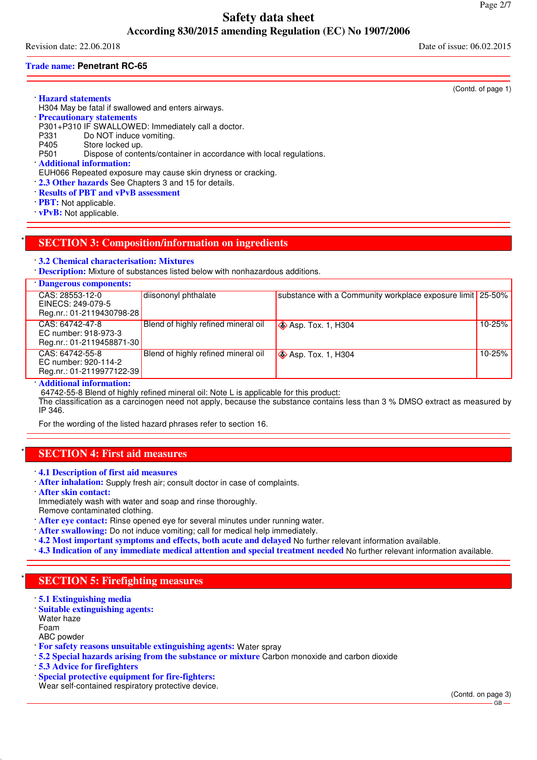Revision date: 22.06.2018 Date of issue: 06.02.2015

#### **Trade name: Penetrant RC-65**

(Contd. of page 1)

· **Hazard statements**

- H304 May be fatal if swallowed and enters airways.
- · **Precautionary statements**

P301+P310 IF SWALLOWED: Immediately call a doctor.<br>P331 Do NOT induce vomiting.

- P331 Do NOT induce vomiting.<br>P405 Store locked up.
- P405 Store locked up.<br>P501 Dispose of conte
- Dispose of contents/container in accordance with local regulations.
- · **Additional information:**
- EUH066 Repeated exposure may cause skin dryness or cracking.
- · **2.3 Other hazards** See Chapters 3 and 15 for details.
- · **Results of PBT and vPvB assessment**
- · **PBT:** Not applicable.
- · **vPvB:** Not applicable.

# \* **SECTION 3: Composition/information on ingredients**

- · **3.2 Chemical characterisation: Mixtures**
- · **Description:** Mixture of substances listed below with nonhazardous additions.

| Dangerous components:                                                |                                     |                                                            |        |
|----------------------------------------------------------------------|-------------------------------------|------------------------------------------------------------|--------|
| CAS: 28553-12-0<br>EINECS: 249-079-5                                 | diisononyl phthalate                | substance with a Community workplace exposure limit 25-50% |        |
| Reg.nr.: 01-2119430798-28                                            |                                     |                                                            |        |
| CAS: 64742-47-8<br>EC number: 918-973-3<br>Reg.nr.: 01-2119458871-30 | Blend of highly refined mineral oil | <b>♦ Asp. Tox. 1, H304</b>                                 | 10-25% |
| CAS: 64742-55-8<br>EC number: 920-114-2<br>Reg.nr.: 01-2119977122-39 | Blend of highly refined mineral oil | $\diamond$ Asp. Tox. 1, H304                               | 10-25% |

#### · **Additional information:**

64742-55-8 Blend of highly refined mineral oil: Note L is applicable for this product:

The classification as a carcinogen need not apply, because the substance contains less than 3 % DMSO extract as measured by IP 346.

For the wording of the listed hazard phrases refer to section 16.

### **SECTION 4: First aid measures**

- · **4.1 Description of first aid measures**
- · **After inhalation:** Supply fresh air; consult doctor in case of complaints.
- · **After skin contact:** Immediately wash with water and soap and rinse thoroughly.
- Remove contaminated clothing.
- · **After eye contact:** Rinse opened eye for several minutes under running water.
- · **After swallowing:** Do not induce vomiting; call for medical help immediately.
- · **4.2 Most important symptoms and effects, both acute and delayed** No further relevant information available.
- · **4.3 Indication of any immediate medical attention and special treatment needed** No further relevant information available.

# **SECTION 5: Firefighting measures**

- · **5.1 Extinguishing media**
- · **Suitable extinguishing agents:** Water haze
- Foam

ABC powder

- · **For safety reasons unsuitable extinguishing agents:** Water spray
- · **5.2 Special hazards arising from the substance or mixture** Carbon monoxide and carbon dioxide
- · **5.3 Advice for firefighters**
- · **Special protective equipment for fire-fighters:**

Wear self-contained respiratory protective device.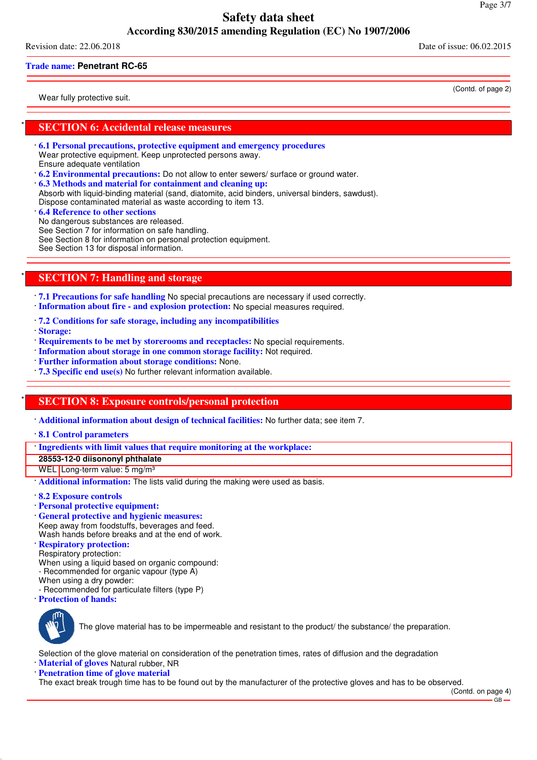Revision date: 22.06.2018 Date of issue: 06.02.2015

#### **Trade name: Penetrant RC-65**

Wear fully protective suit.

(Contd. of page 2)

### **SECTION 6: Accidental release measures**

- · **6.1 Personal precautions, protective equipment and emergency procedures** Wear protective equipment. Keep unprotected persons away. Ensure adequate ventilation
- · **6.2 Environmental precautions:** Do not allow to enter sewers/ surface or ground water.
- · **6.3 Methods and material for containment and cleaning up:**
- Absorb with liquid-binding material (sand, diatomite, acid binders, universal binders, sawdust).
- Dispose contaminated material as waste according to item 13.
- · **6.4 Reference to other sections** No dangerous substances are released.
- See Section 7 for information on safe handling.
- See Section 8 for information on personal protection equipment.
- See Section 13 for disposal information.

# **SECTION 7: Handling and storage**

· **7.1 Precautions for safe handling** No special precautions are necessary if used correctly.

- · **Information about fire and explosion protection:** No special measures required.
- · **7.2 Conditions for safe storage, including any incompatibilities**
- · **Storage:**
- · **Requirements to be met by storerooms and receptacles:** No special requirements.
- · **Information about storage in one common storage facility:** Not required.
- · **Further information about storage conditions:** None.
- · **7.3 Specific end use(s)** No further relevant information available.

# **SECTION 8: Exposure controls/personal protection**

- · **Additional information about design of technical facilities:** No further data; see item 7.
- · **8.1 Control parameters**
- · **Ingredients with limit values that require monitoring at the workplace:**
- **28553-12-0 diisononyl phthalate**
- WEL Long-term value: 5 mg/m<sup>3</sup>
- · **Additional information:** The lists valid during the making were used as basis.
- · **8.2 Exposure controls**
- · **Personal protective equipment:**
- · **General protective and hygienic measures:** Keep away from foodstuffs, beverages and feed. Wash hands before breaks and at the end of work.
- · **Respiratory protection:**
- Respiratory protection:
- When using a liquid based on organic compound:
- Recommended for organic vapour (type A)
- When using a dry powder:
- Recommended for particulate filters (type P)
- · **Protection of hands:**



The glove material has to be impermeable and resistant to the product/ the substance/ the preparation.

Selection of the glove material on consideration of the penetration times, rates of diffusion and the degradation

· **Material of gloves** Natural rubber, NR

**Penetration time of glove material** 

The exact break trough time has to be found out by the manufacturer of the protective gloves and has to be observed.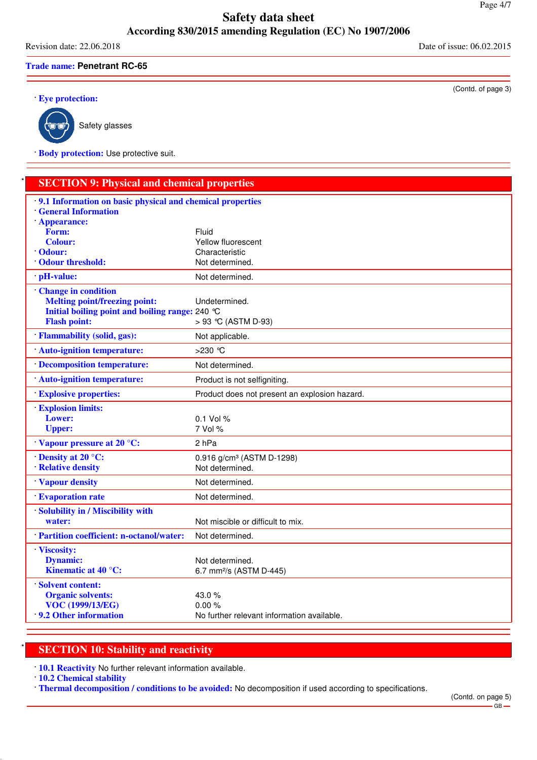Revision date: 22.06.2018 Date of issue: 06.02.2015

**Trade name: Penetrant RC-65**

· **Eye protection:**



Safety glasses

· **Body protection:** Use protective suit.

# **SECTION 9: Physical and chemical properties**

| 9.1 Information on basic physical and chemical properties<br><b>General Information</b><br>Appearance:                                       |                                                                  |
|----------------------------------------------------------------------------------------------------------------------------------------------|------------------------------------------------------------------|
| Form:<br><b>Colour:</b><br><b>Odour:</b><br><b>Odour threshold:</b>                                                                          | Fluid<br>Yellow fluorescent<br>Characteristic<br>Not determined. |
| pH-value:                                                                                                                                    | Not determined.                                                  |
| <b>Change in condition</b><br><b>Melting point/freezing point:</b><br>Initial boiling point and boiling range: 240 °C<br><b>Flash point:</b> | Undetermined.<br>> 93 °C (ASTM D-93)                             |
| <b>Flammability (solid, gas):</b>                                                                                                            | Not applicable.                                                  |
| Auto-ignition temperature:                                                                                                                   | $>230$ °C                                                        |
| Decomposition temperature:                                                                                                                   | Not determined.                                                  |
| <b>Auto-ignition temperature:</b>                                                                                                            | Product is not selfigniting.                                     |
| <b>Explosive properties:</b>                                                                                                                 | Product does not present an explosion hazard.                    |
| <b>Explosion limits:</b><br>Lower:<br><b>Upper:</b>                                                                                          | $0.1$ Vol %<br>7 Vol %                                           |
| Vapour pressure at 20 °C:                                                                                                                    | 2 <sub>hPa</sub>                                                 |
| Density at $20^{\circ}$ C:<br><b>Relative density</b>                                                                                        | 0.916 g/cm <sup>3</sup> (ASTM D-1298)<br>Not determined.         |
| Vapour density                                                                                                                               | Not determined.                                                  |
| <b>Evaporation rate</b>                                                                                                                      | Not determined.                                                  |
| Solubility in / Miscibility with<br>water:                                                                                                   | Not miscible or difficult to mix.                                |
| · Partition coefficient: n-octanol/water:                                                                                                    | Not determined.                                                  |
| Viscosity:<br><b>Dynamic:</b><br><b>Kinematic at 40 °C:</b>                                                                                  | Not determined.<br>6.7 mm <sup>2</sup> /s (ASTM D-445)           |
| Solvent content:<br><b>Organic solvents:</b><br><b>VOC (1999/13/EG)</b><br>9.2 Other information                                             | 43.0%<br>0.00%<br>No further relevant information available.     |

# **SECTION 10: Stability and reactivity**

· **10.1 Reactivity** No further relevant information available.

· **10.2 Chemical stability**

· **Thermal decomposition / conditions to be avoided:** No decomposition if used according to specifications.

(Contd. of page 3)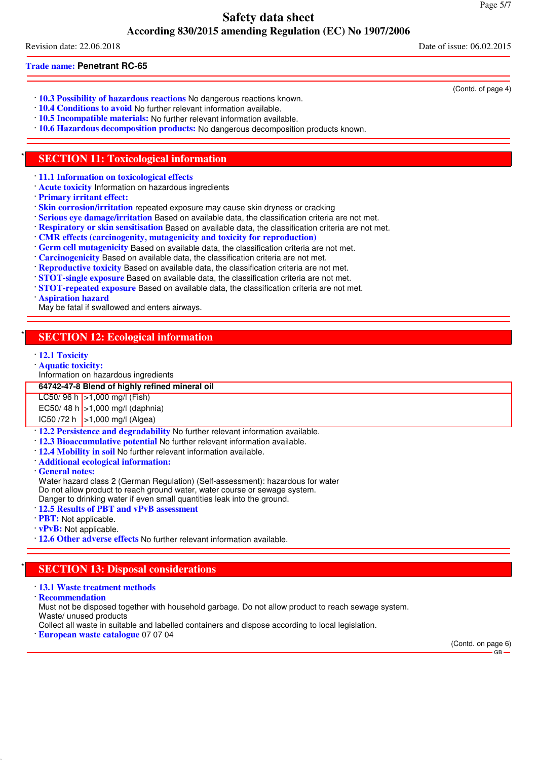Revision date: 22.06.2018 Date of issue: 06.02.2015

#### **Trade name: Penetrant RC-65**

- · **10.3 Possibility of hazardous reactions** No dangerous reactions known.
- · **10.4 Conditions to avoid** No further relevant information available.
- · **10.5 Incompatible materials:** No further relevant information available.
- · **10.6 Hazardous decomposition products:** No dangerous decomposition products known.

### **SECTION 11: Toxicological information**

- · **11.1 Information on toxicological effects**
- · **Acute toxicity** Information on hazardous ingredients
- · **Primary irritant effect:**
- · **Skin corrosion/irritation** repeated exposure may cause skin dryness or cracking
- · **Serious eye damage/irritation** Based on available data, the classification criteria are not met.
- · **Respiratory or skin sensitisation** Based on available data, the classification criteria are not met.
- · **CMR effects (carcinogenity, mutagenicity and toxicity for reproduction)**
- · **Germ cell mutagenicity** Based on available data, the classification criteria are not met.
- · **Carcinogenicity** Based on available data, the classification criteria are not met.
- · **Reproductive toxicity** Based on available data, the classification criteria are not met.
- · **STOT-single exposure** Based on available data, the classification criteria are not met.
- · **STOT-repeated exposure** Based on available data, the classification criteria are not met.
- · **Aspiration hazard**

May be fatal if swallowed and enters airways.

# **SECTION 12: Ecological information**

- · **12.1 Toxicity**
- · **Aquatic toxicity:**
- Information on hazardous ingredients

**64742-47-8 Blend of highly refined mineral oil**

LC50/ 96 h | > 1,000 mg/l (Fish)

EC50/ 48 h  $\ge$ 1,000 mg/l (daphnia)

IC50 /72 h >1,000 mg/l (Algea)

- · **12.2 Persistence and degradability** No further relevant information available.
- · **12.3 Bioaccumulative potential** No further relevant information available.
- · **12.4 Mobility in soil** No further relevant information available.
- · **Additional ecological information:**
- · **General notes:**

Water hazard class 2 (German Regulation) (Self-assessment): hazardous for water Do not allow product to reach ground water, water course or sewage system.

- Danger to drinking water if even small quantities leak into the ground.
- · **12.5 Results of PBT and vPvB assessment**
- · **PBT:** Not applicable.
- · **vPvB:** Not applicable.
- · **12.6 Other adverse effects** No further relevant information available.

# **SECTION 13: Disposal considerations**

- · **13.1 Waste treatment methods**
- · **Recommendation**

Must not be disposed together with household garbage. Do not allow product to reach sewage system.

- Waste/ unused products
- Collect all waste in suitable and labelled containers and dispose according to local legislation.
- · **European waste catalogue** 07 07 04

(Contd. on page 6) GB

(Contd. of page 4)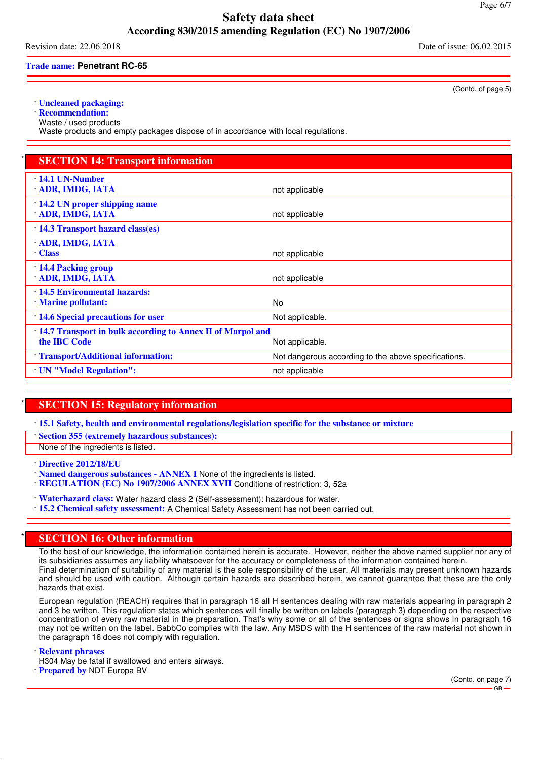Revision date: 22.06.2018 Date of issue: 06.02.2015

**Trade name: Penetrant RC-65**

· **Uncleaned packaging:**

· **Recommendation:**

Waste / used products

Waste products and empty packages dispose of in accordance with local regulations.

| <b>SECTION 14: Transport information</b>                                   |                                                      |
|----------------------------------------------------------------------------|------------------------------------------------------|
| 14.1 UN-Number<br>ADR, IMDG, IATA                                          | not applicable                                       |
| 14.2 UN proper shipping name<br><b>ADR, IMDG, IATA</b>                     | not applicable                                       |
| 14.3 Transport hazard class(es)                                            |                                                      |
| ADR, IMDG, IATA<br><b>Class</b>                                            | not applicable                                       |
| 14.4 Packing group<br>ADR, IMDG, IATA                                      | not applicable                                       |
| 14.5 Environmental hazards:<br><b>Marine pollutant:</b>                    | <b>No</b>                                            |
| 14.6 Special precautions for user                                          | Not applicable.                                      |
| 14.7 Transport in bulk according to Annex II of Marpol and<br>the IBC Code | Not applicable.                                      |
| Transport/Additional information:                                          | Not dangerous according to the above specifications. |
| <b>UN</b> "Model Regulation":                                              | not applicable                                       |

# **SECTION 15: Regulatory information**

· **15.1 Safety, health and environmental regulations/legislation specific for the substance or mixture**

· **Section 355 (extremely hazardous substances):**

None of the ingredients is listed.

· **Directive 2012/18/EU**

· **Named dangerous substances - ANNEX I** None of the ingredients is listed.

· **REGULATION (EC) No 1907/2006 ANNEX XVII** Conditions of restriction: 3, 52a

· **Waterhazard class:** Water hazard class 2 (Self-assessment): hazardous for water.

· **15.2 Chemical safety assessment:** A Chemical Safety Assessment has not been carried out.

# **SECTION 16: Other information**

To the best of our knowledge, the information contained herein is accurate. However, neither the above named supplier nor any of its subsidiaries assumes any liability whatsoever for the accuracy or completeness of the information contained herein. Final determination of suitability of any material is the sole responsibility of the user. All materials may present unknown hazards and should be used with caution. Although certain hazards are described herein, we cannot guarantee that these are the only hazards that exist.

European regulation (REACH) requires that in paragraph 16 all H sentences dealing with raw materials appearing in paragraph 2 and 3 be written. This regulation states which sentences will finally be written on labels (paragraph 3) depending on the respective concentration of every raw material in the preparation. That's why some or all of the sentences or signs shows in paragraph 16 may not be written on the label. BabbCo complies with the law. Any MSDS with the H sentences of the raw material not shown in the paragraph 16 does not comply with regulation.

· **Relevant phrases**

H304 May be fatal if swallowed and enters airways.

· **Prepared by** NDT Europa BV

(Contd. of page 5)